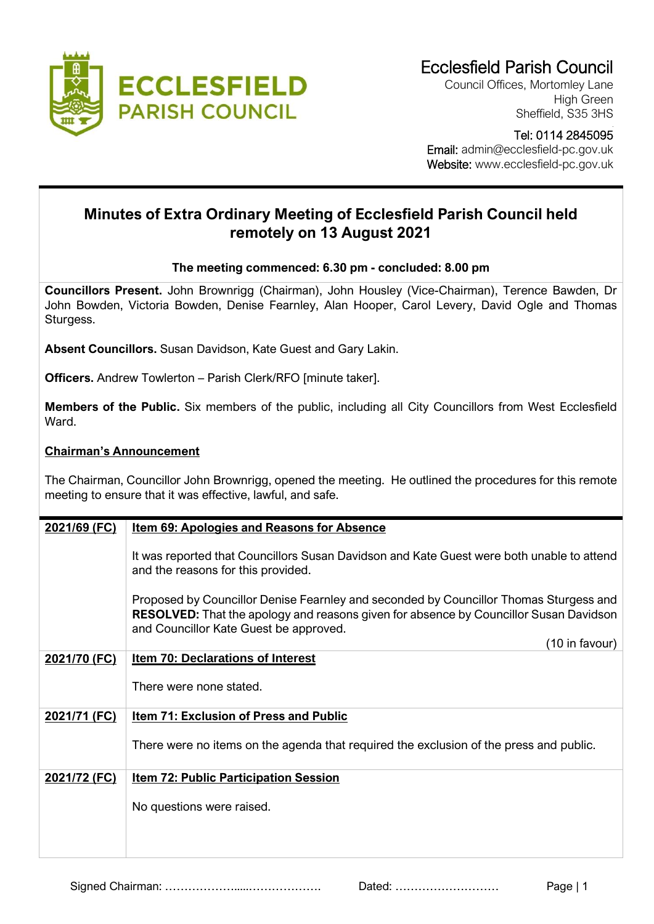

Council Offices, Mortomley Lane High Green Sheffield, S35 3HS

## Tel: 0114 2845095

 Email: admin@ecclesfield-pc.gov.uk Website: www.ecclesfield-pc.gov.uk

## **Minutes of Extra Ordinary Meeting of Ecclesfield Parish Council held remotely on 13 August 2021**

## **The meeting commenced: 6.30 pm - concluded: 8.00 pm**

**Councillors Present.** John Brownrigg (Chairman), John Housley (Vice-Chairman), Terence Bawden, Dr John Bowden, Victoria Bowden, Denise Fearnley, Alan Hooper, Carol Levery, David Ogle and Thomas Sturgess.

**Absent Councillors.** Susan Davidson, Kate Guest and Gary Lakin.

**Officers.** Andrew Towlerton – Parish Clerk/RFO [minute taker].

**Members of the Public.** Six members of the public, including all City Councillors from West Ecclesfield Ward.

## **Chairman's Announcement**

The Chairman, Councillor John Brownrigg, opened the meeting. He outlined the procedures for this remote meeting to ensure that it was effective, lawful, and safe.

| It was reported that Councillors Susan Davidson and Kate Guest were both unable to attend                                                                                             |
|---------------------------------------------------------------------------------------------------------------------------------------------------------------------------------------|
| Proposed by Councillor Denise Fearnley and seconded by Councillor Thomas Sturgess and<br><b>RESOLVED:</b> That the apology and reasons given for absence by Councillor Susan Davidson |
| (10 in favour)                                                                                                                                                                        |
|                                                                                                                                                                                       |
|                                                                                                                                                                                       |
|                                                                                                                                                                                       |
| There were no items on the agenda that required the exclusion of the press and public.                                                                                                |
|                                                                                                                                                                                       |
|                                                                                                                                                                                       |
|                                                                                                                                                                                       |